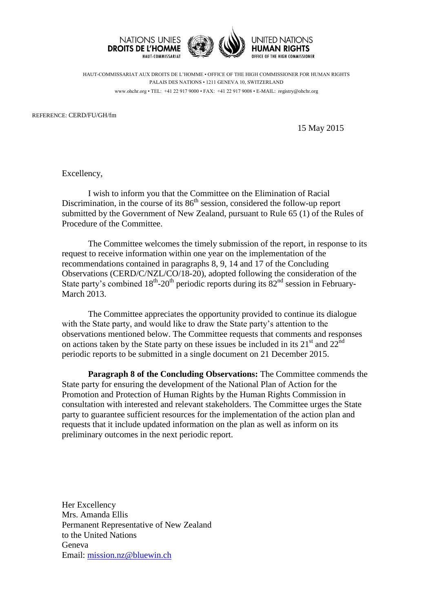



HUMAN RIGHTS *DEFICE OF THE HIGH COMMISSIONER* 

HAUT-COMMISSARIAT AUX DROITS DE L'HOMME • OFFICE OF THE HIGH COMMISSIONER FOR HUMAN RIGHTS PALAIS DES NATIONS • 1211 GENEVA 10, SWITZERLAND www.ohchr.org • TEL: +41 22 917 9000 • FAX: +41 22 917 9008 • E-MAIL: registry@ohchr.org

REFERENCE: CERD/FU/GH/fm

15 May 2015

Excellency,

I wish to inform you that the Committee on the Elimination of Racial Discrimination, in the course of its 86<sup>th</sup> session, considered the follow-up report submitted by the Government of New Zealand, pursuant to Rule 65 (1) of the Rules of Procedure of the Committee.

The Committee welcomes the timely submission of the report, in response to its request to receive information within one year on the implementation of the recommendations contained in paragraphs 8, 9, 14 and 17 of the Concluding Observations (CERD/C/NZL/CO/18-20), adopted following the consideration of the State party's combined  $18<sup>th</sup>$ -20<sup>th</sup> periodic reports during its  $82<sup>nd</sup>$  session in February-March 2013.

The Committee appreciates the opportunity provided to continue its dialogue with the State party, and would like to draw the State party's attention to the observations mentioned below. The Committee requests that comments and responses on actions taken by the State party on these issues be included in its  $21<sup>st</sup>$  and  $22<sup>nd</sup>$ periodic reports to be submitted in a single document on 21 December 2015.

**Paragraph 8 of the Concluding Observations:** The Committee commends the State party for ensuring the development of the National Plan of Action for the Promotion and Protection of Human Rights by the Human Rights Commission in consultation with interested and relevant stakeholders. The Committee urges the State party to guarantee sufficient resources for the implementation of the action plan and requests that it include updated information on the plan as well as inform on its preliminary outcomes in the next periodic report.

Her Excellency Mrs. Amanda Ellis Permanent Representative of New Zealand to the United Nations Geneva Email: [mission.nz@bluewin.ch](mailto:mission.nz@bluewin.ch)